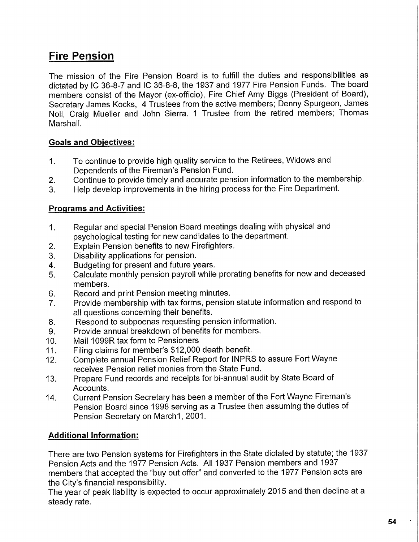## **Fire Pension**

The mission of the Fire Pension Board is to fulfill the duties and responsibilities as dictated by IC 36-8-7 and IC 36-8-8, the 1937 and 1977 Fire Pension Funds. The board members consist of the Mayor (ex-officio), Fire Chief Amy Biggs (President of Board), Secretary James Kocks, 4 Trustees from the active members; Denny Spurgeon, James Noll, Craig Mueller and John Sierra. 1 Trustee from the retired members; Thomas Marshall.

#### **Goals and Objectives:**

- 1. To continue to provide high quality service to the Retirees, Widows and Dependents of the Fireman's Pension Fund.
- 2. Continue to provide timely and accurate pension information to the membership.
- 3. Help develop improvements in the hiring process for the Fire Department.

### **Programs and Activities:**

- 1. Regular and special Pension Board meetings dealing with physical and psychological testing for new candidates to the department.
- 2. Explain Pension benefits to new Firefighters.
- 3. Disability applications for pension.
- 4. Budgeting for present and future years.
- 5. Calculate monthly pension payroll while prorating benefits for new and deceased members.
- 6. Record and print Pension meeting minutes.
- 7. Provide membership with tax forms, pension statute information and respond to all questions concerning their benefits.
- 8. Respond to subpoenas requesting pension information.
- 9. Provide annual breakdown of benefits for members.
- 10. Mail 1099R tax form to Pensioners
- 11. Filing claims for member's \$12,000 death benefit.
- 12. Complete annual Pension Relief Report for INPRS to assure Fort Wayne receives Pension relief monies from the State Fund.
- 13. Prepare Fund records and receipts for bi-annual audit by State Board of Accounts.
- 14. Current Pension Secretary has been a member of the Fort Wayne Fireman's Pension Board since 1998 serving as a Trustee then assuming the duties of Pension Secretary on March1, 2001.

#### **Additional Information:**

There are two Pension systems for Firefighters in the State dictated by statute; the 1937 Pension Acts and the 1977 Pension Acts. All 1937 Pension members and 1937 members that accepted the "buy out offer" and converted to the 1977 Pension acts are the City's financial responsibility.

The year of peak liability is expected to occur approximately 2015 and then decline at a steady rate.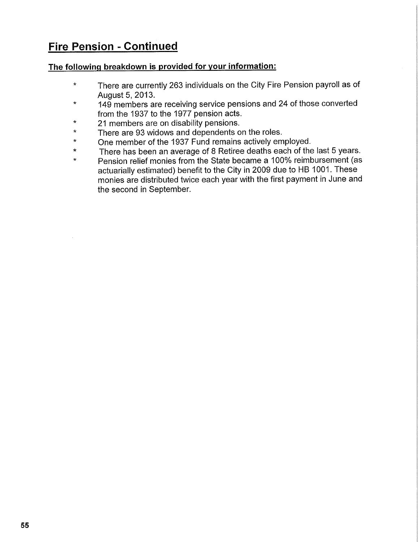# **Fire Pension - Continued**

#### **The following breakdown is provided for your information:**

- \* There are currently 263 individuals on the City Fire Pension payroll as of August 5, 2013.
- \* 149 members are receiving service pensions and 24 of those converted from the 1937 to the 1977 pension acts.
- \* 21 members are on disability pensions.<br>\* There are 93 widows and dependents of
- There are 93 widows and dependents on the roles.
- \* One member of the 1937 Fund remains actively employed.
- \* There has been an average of 8 Retiree deaths each of the last 5 years.
- \* Pension relief monies from the State became a 100% reimbursement (as actuarially estimated) benefit to the City in 2009 due to HB 1001. These monies are distributed twice each year with the first payment in June and the second in September.